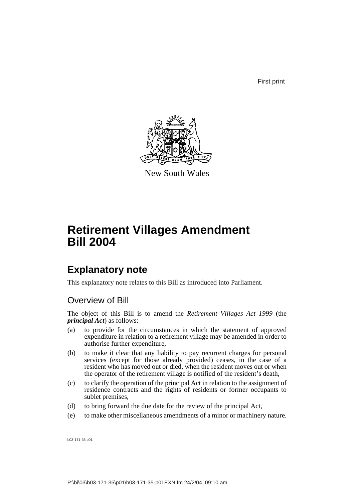First print



New South Wales

# **Retirement Villages Amendment Bill 2004**

## **Explanatory note**

This explanatory note relates to this Bill as introduced into Parliament.

### Overview of Bill

The object of this Bill is to amend the *Retirement Villages Act 1999* (the *principal Act*) as follows:

- (a) to provide for the circumstances in which the statement of approved expenditure in relation to a retirement village may be amended in order to authorise further expenditure,
- (b) to make it clear that any liability to pay recurrent charges for personal services (except for those already provided) ceases, in the case of a resident who has moved out or died, when the resident moves out or when the operator of the retirement village is notified of the resident's death,
- (c) to clarify the operation of the principal Act in relation to the assignment of residence contracts and the rights of residents or former occupants to sublet premises,
- (d) to bring forward the due date for the review of the principal Act,
- (e) to make other miscellaneous amendments of a minor or machinery nature.

b03-171-35.p01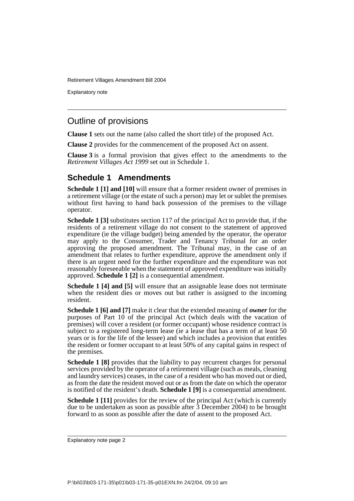Explanatory note

### Outline of provisions

**Clause 1** sets out the name (also called the short title) of the proposed Act.

**Clause 2** provides for the commencement of the proposed Act on assent.

**Clause 3** is a formal provision that gives effect to the amendments to the *Retirement Villages Act 1999* set out in Schedule 1.

### **Schedule 1 Amendments**

**Schedule 1 [1] and [10]** will ensure that a former resident owner of premises in a retirement village (or the estate of such a person) may let or sublet the premises without first having to hand back possession of the premises to the village operator.

**Schedule 1 [3]** substitutes section 117 of the principal Act to provide that, if the residents of a retirement village do not consent to the statement of approved expenditure (ie the village budget) being amended by the operator, the operator may apply to the Consumer, Trader and Tenancy Tribunal for an order approving the proposed amendment. The Tribunal may, in the case of an amendment that relates to further expenditure, approve the amendment only if there is an urgent need for the further expenditure and the expenditure was not reasonably foreseeable when the statement of approved expenditure was initially approved. **Schedule 1 [2]** is a consequential amendment.

**Schedule 1 [4] and [5]** will ensure that an assignable lease does not terminate when the resident dies or moves out but rather is assigned to the incoming resident.

**Schedule 1 [6] and [7]** make it clear that the extended meaning of *owner* for the purposes of Part 10 of the principal Act (which deals with the vacation of premises) will cover a resident (or former occupant) whose residence contract is subject to a registered long-term lease (ie a lease that has a term of at least 50 years or is for the life of the lessee) and which includes a provision that entitles the resident or former occupant to at least 50% of any capital gains in respect of the premises.

**Schedule 1 [8]** provides that the liability to pay recurrent charges for personal services provided by the operator of a retirement village (such as meals, cleaning and laundry services) ceases, in the case of a resident who has moved out or died, as from the date the resident moved out or as from the date on which the operator is notified of the resident's death. **Schedule 1 [9]** is a consequential amendment.

**Schedule 1 [11]** provides for the review of the principal Act (which is currently due to be undertaken as soon as possible after 3 December 2004) to be brought forward to as soon as possible after the date of assent to the proposed Act.

Explanatory note page 2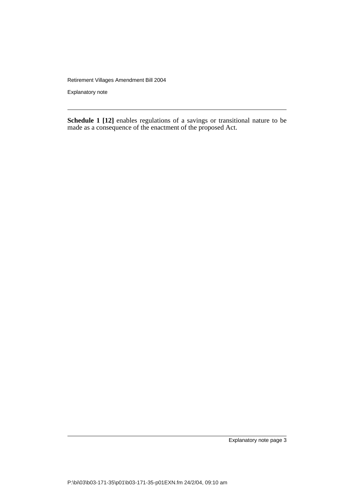Explanatory note

**Schedule 1 [12]** enables regulations of a savings or transitional nature to be made as a consequence of the enactment of the proposed Act.

Explanatory note page 3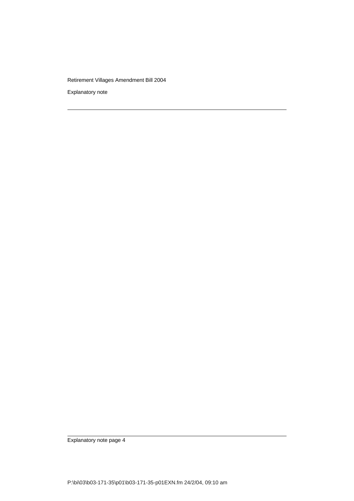Explanatory note

Explanatory note page 4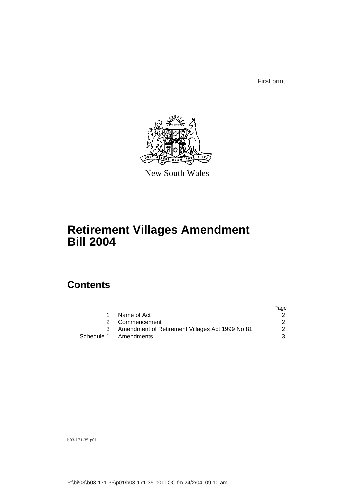First print



New South Wales

## **Retirement Villages Amendment Bill 2004**

## **Contents**

|   |                                                   | Page          |
|---|---------------------------------------------------|---------------|
| 1 | Name of Act                                       |               |
|   | 2 Commencement                                    |               |
|   | 3 Amendment of Retirement Villages Act 1999 No 81 | $\mathcal{P}$ |
|   | Schedule 1 Amendments                             | 3             |

b03-171-35.p01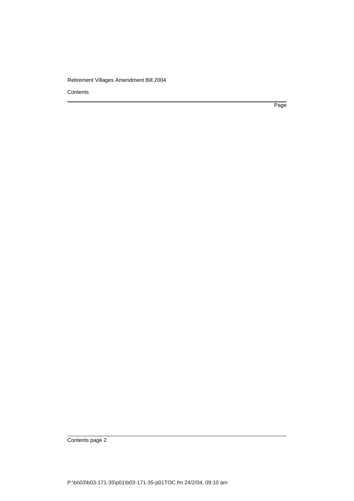**Contents** 

Page

Contents page 2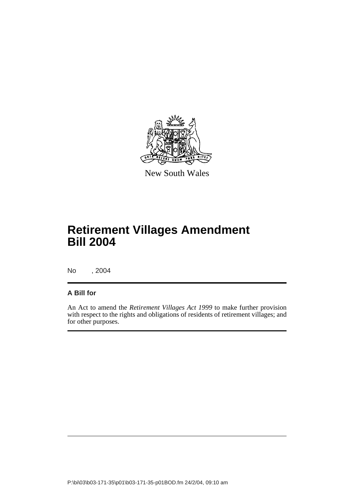

New South Wales

## **Retirement Villages Amendment Bill 2004**

No , 2004

#### **A Bill for**

An Act to amend the *Retirement Villages Act 1999* to make further provision with respect to the rights and obligations of residents of retirement villages; and for other purposes.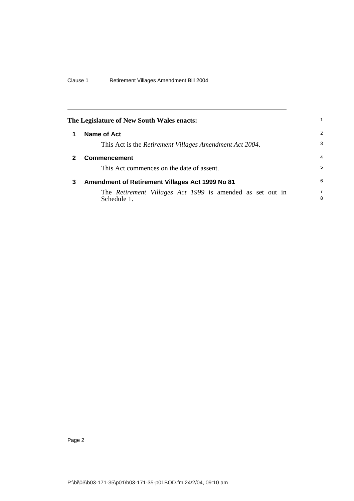<span id="page-7-2"></span><span id="page-7-1"></span><span id="page-7-0"></span>

| The Legislature of New South Wales enacts: |                                                                          |                |
|--------------------------------------------|--------------------------------------------------------------------------|----------------|
|                                            | Name of Act                                                              | 2              |
|                                            | This Act is the <i>Retirement Villages Amendment Act 2004</i> .          | -3             |
|                                            | <b>Commencement</b>                                                      | $\overline{4}$ |
|                                            | This Act commences on the date of assent.                                | 5              |
| 3                                          | Amendment of Retirement Villages Act 1999 No 81                          | 6              |
|                                            | The Retirement Villages Act 1999 is amended as set out in<br>Schedule 1. | 7<br>8         |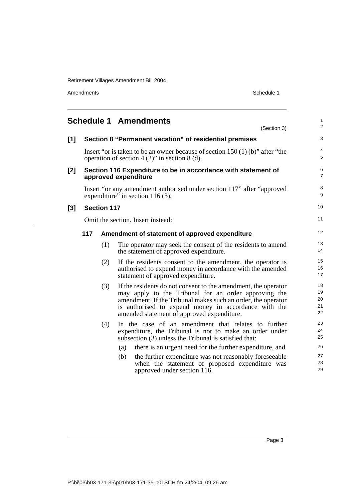Amendments Schedule 1

<span id="page-8-0"></span>

|       |                                                                                                                                       |     | <b>Schedule 1 Amendments</b><br>(Section 3)                                                                                                                                                                                                                                                  | $\mathbf 1$<br>$\overline{2}$ |  |  |
|-------|---------------------------------------------------------------------------------------------------------------------------------------|-----|----------------------------------------------------------------------------------------------------------------------------------------------------------------------------------------------------------------------------------------------------------------------------------------------|-------------------------------|--|--|
| $[1]$ |                                                                                                                                       |     | Section 8 "Permanent vacation" of residential premises                                                                                                                                                                                                                                       | 3                             |  |  |
|       | Insert "or is taken to be an owner because of section $150(1)(b)$ " after "the<br>operation of section 4 $(2)$ " in section 8 $(d)$ . |     |                                                                                                                                                                                                                                                                                              |                               |  |  |
| $[2]$ |                                                                                                                                       |     | Section 116 Expenditure to be in accordance with statement of<br>approved expenditure                                                                                                                                                                                                        | 6<br>$\overline{7}$           |  |  |
|       | Insert "or any amendment authorised under section 117" after "approved<br>expenditure" in section $116(3)$ .                          |     |                                                                                                                                                                                                                                                                                              |                               |  |  |
| $[3]$ | <b>Section 117</b>                                                                                                                    |     |                                                                                                                                                                                                                                                                                              |                               |  |  |
|       |                                                                                                                                       |     | Omit the section. Insert instead:                                                                                                                                                                                                                                                            | 11                            |  |  |
|       | 117<br>Amendment of statement of approved expenditure                                                                                 |     |                                                                                                                                                                                                                                                                                              |                               |  |  |
|       |                                                                                                                                       | (1) | The operator may seek the consent of the residents to amend<br>the statement of approved expenditure.                                                                                                                                                                                        | 13<br>14                      |  |  |
|       |                                                                                                                                       | (2) | If the residents consent to the amendment, the operator is<br>authorised to expend money in accordance with the amended<br>statement of approved expenditure.                                                                                                                                | 15<br>16<br>17                |  |  |
|       |                                                                                                                                       | (3) | If the residents do not consent to the amendment, the operator<br>may apply to the Tribunal for an order approving the<br>amendment. If the Tribunal makes such an order, the operator<br>is authorised to expend money in accordance with the<br>amended statement of approved expenditure. | 18<br>19<br>20<br>21<br>22    |  |  |
|       |                                                                                                                                       | (4) | In the case of an amendment that relates to further<br>expenditure, the Tribunal is not to make an order under<br>subsection (3) unless the Tribunal is satisfied that:                                                                                                                      | 23<br>24<br>25                |  |  |
|       |                                                                                                                                       |     | there is an urgent need for the further expenditure, and<br>(a)<br>the further expenditure was not reasonably foreseeable<br>(b)<br>when the statement of proposed expenditure was<br>approved under section 116.                                                                            | 26<br>27<br>28<br>29          |  |  |

Page 3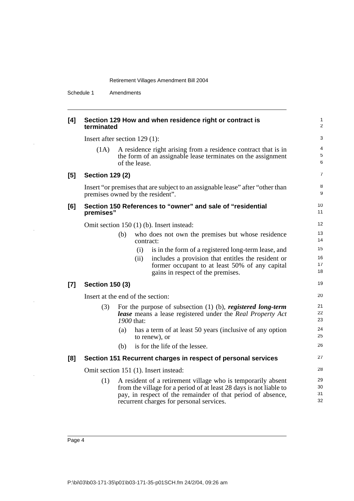Schedule 1 Amendments

 $\frac{1}{2}$ 

l,

 $\hat{\boldsymbol{\beta}}$ 

 $\overline{\phantom{a}}$ 

| [4]   | terminated                        |               | Section 129 How and when residence right or contract is                                                                                                                                                                                       | 1<br>$\overline{c}$  |
|-------|-----------------------------------|---------------|-----------------------------------------------------------------------------------------------------------------------------------------------------------------------------------------------------------------------------------------------|----------------------|
|       | Insert after section $129(1)$ :   |               |                                                                                                                                                                                                                                               | 3                    |
|       | (1A)                              | of the lease. | A residence right arising from a residence contract that is in<br>the form of an assignable lease terminates on the assignment                                                                                                                | 4<br>5<br>6          |
| [5]   | <b>Section 129 (2)</b>            |               |                                                                                                                                                                                                                                               | 7                    |
|       |                                   |               | Insert "or premises that are subject to an assignable lease" after "other than<br>premises owned by the resident".                                                                                                                            | 8<br>9               |
| [6]   | premises"                         |               | Section 150 References to "owner" and sale of "residential                                                                                                                                                                                    | 10<br>11             |
|       |                                   |               | Omit section 150 (1) (b). Insert instead:                                                                                                                                                                                                     | 12                   |
|       |                                   | (b)           | who does not own the premises but whose residence<br>contract:                                                                                                                                                                                | 13<br>14             |
|       |                                   |               | is in the form of a registered long-term lease, and<br>(i)                                                                                                                                                                                    | 15                   |
|       |                                   |               | includes a provision that entitles the resident or<br>(ii)<br>former occupant to at least 50% of any capital<br>gains in respect of the premises.                                                                                             | 16<br>17<br>18       |
| $[7]$ | <b>Section 150 (3)</b>            |               |                                                                                                                                                                                                                                               | 19                   |
|       | Insert at the end of the section: |               |                                                                                                                                                                                                                                               | 20                   |
|       | (3)                               | 1900 that:    | For the purpose of subsection $(1)$ (b), registered long-term<br>lease means a lease registered under the Real Property Act                                                                                                                   | 21<br>22<br>23       |
|       |                                   | (a)           | has a term of at least 50 years (inclusive of any option<br>to renew), or                                                                                                                                                                     | 24<br>25             |
|       |                                   | (b)           | is for the life of the lessee.                                                                                                                                                                                                                | 26                   |
| [8]   |                                   |               | Section 151 Recurrent charges in respect of personal services                                                                                                                                                                                 | 27                   |
|       |                                   |               | Omit section 151 (1). Insert instead:                                                                                                                                                                                                         | 28                   |
|       | (1)                               |               | A resident of a retirement village who is temporarily absent<br>from the village for a period of at least 28 days is not liable to<br>pay, in respect of the remainder of that period of absence,<br>recurrent charges for personal services. | 29<br>30<br>31<br>32 |
|       |                                   |               |                                                                                                                                                                                                                                               |                      |